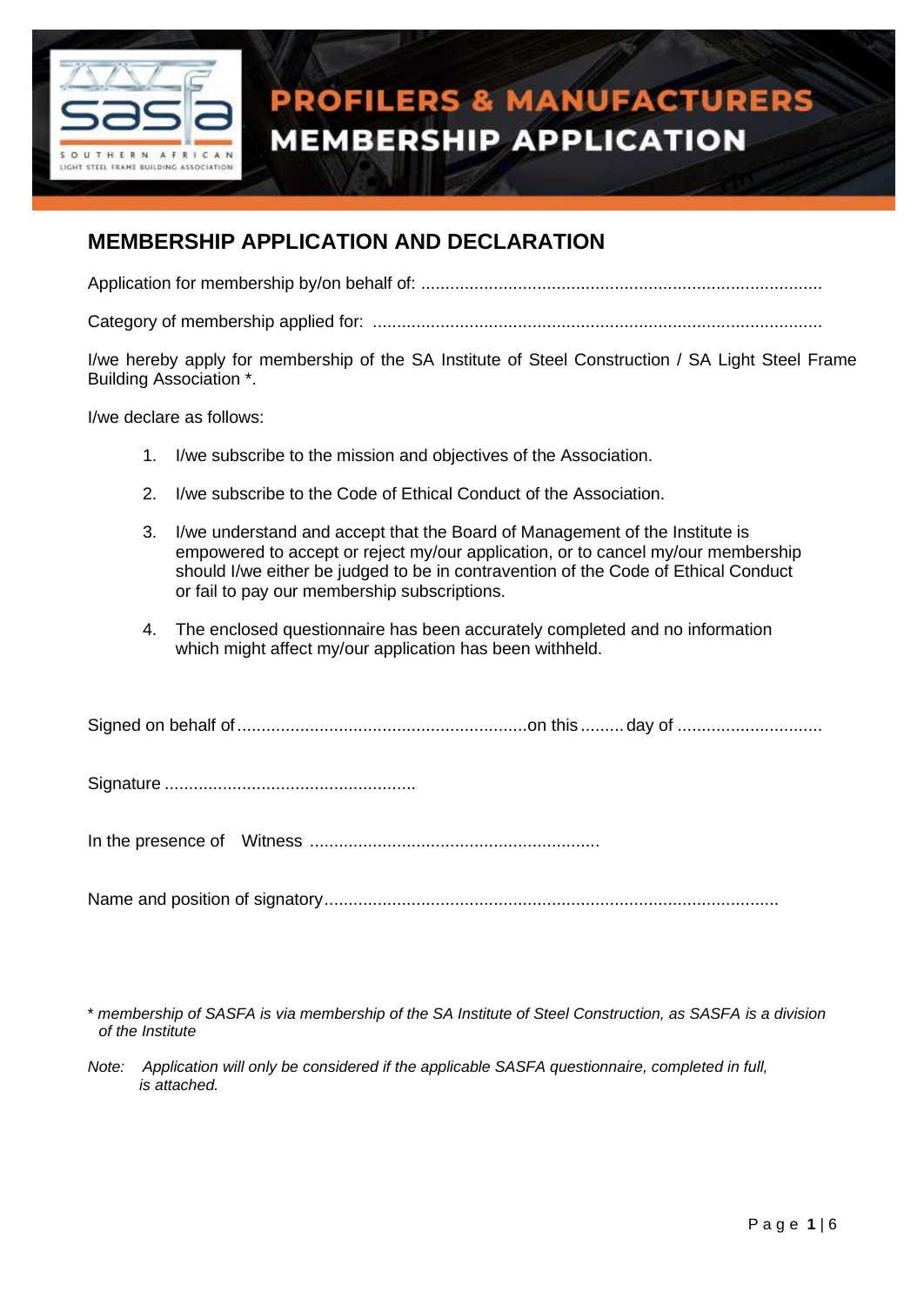

## **PROFILERS & MANUFACTURERS MEMBERSHIP APPLICATION**

#### **MEMBERSHIP APPLICATION AND DECLARATION**

Application for membership by/on behalf of: ...................................................................................

Category of membership applied for: .............................................................................................

I/we hereby apply for membership of the SA Institute of Steel Construction / SA Light Steel Frame Building Association \*.

I/we declare as follows:

- 1. I/we subscribe to the mission and objectives of the Association.
- 2. I/we subscribe to the Code of Ethical Conduct of the Association.
- 3. I/we understand and accept that the Board of Management of the Institute is empowered to accept or reject my/our application, or to cancel my/our membership should I/we either be judged to be in contravention of the Code of Ethical Conduct or fail to pay our membership subscriptions.
- 4. The enclosed questionnaire has been accurately completed and no information which might affect my/our application has been withheld.

Signature ....................................................

In the presence of Witness ............................................................

Name and position of signatory..............................................................................................

<sup>\*</sup> *membership of SASFA is via membership of the SA Institute of Steel Construction, as SASFA is a division of the Institute*

*Note: Application will only be considered if the applicable SASFA questionnaire, completed in full, is attached.*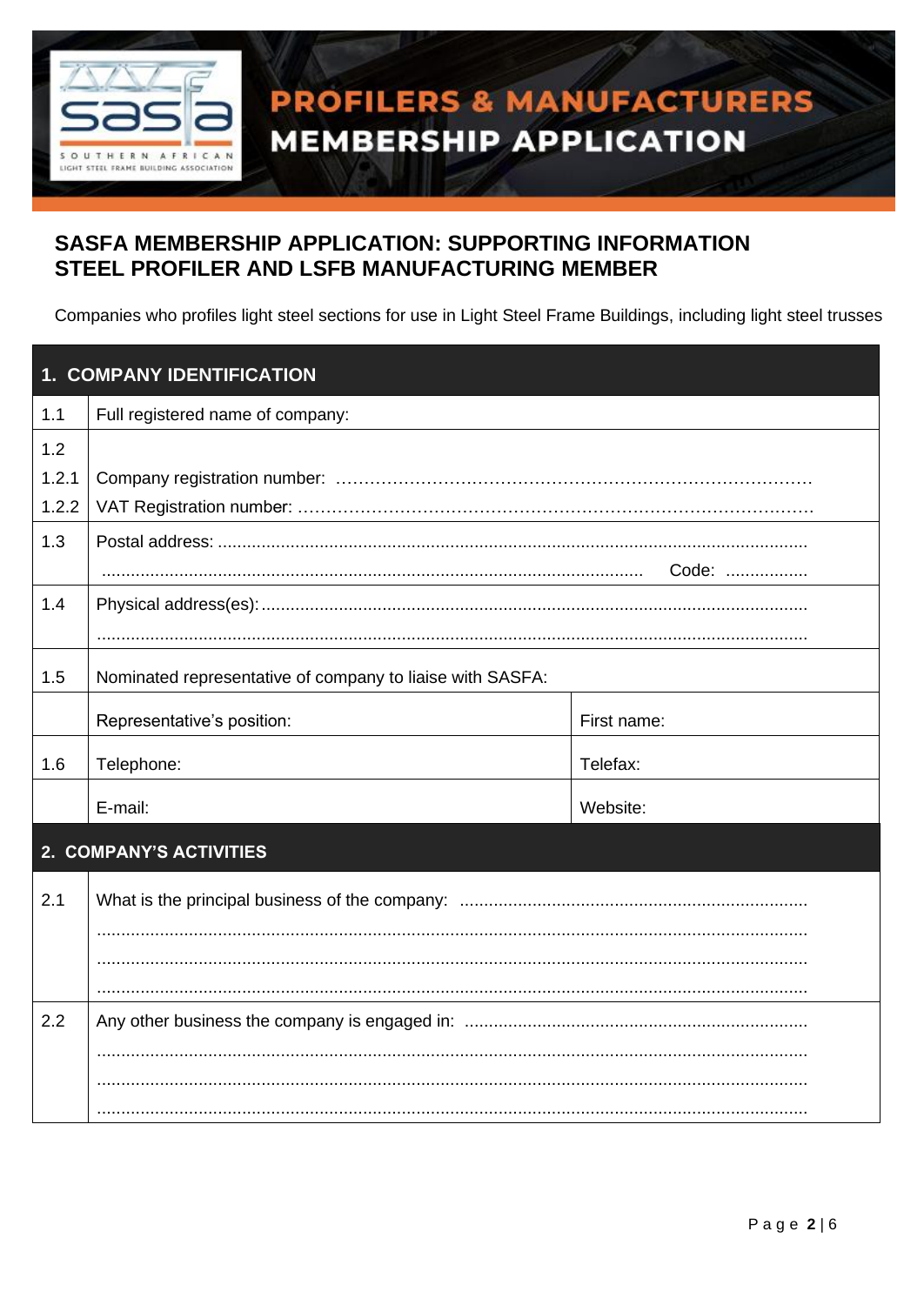

# **PROFILERS & MANUFACTURERS MEMBERSHIP APPLICATION**

#### **SASFA MEMBERSHIP APPLICATION: SUPPORTING INFORMATION** STEEL PROFILER AND LSFB MANUFACTURING MEMBER

Companies who profiles light steel sections for use in Light Steel Frame Buildings, including light steel trusses

|       | 1. COMPANY IDENTIFICATION                                 |             |  |  |  |  |
|-------|-----------------------------------------------------------|-------------|--|--|--|--|
| 1.1   | Full registered name of company:                          |             |  |  |  |  |
| 1.2   |                                                           |             |  |  |  |  |
| 1.2.1 |                                                           |             |  |  |  |  |
| 1.2.2 |                                                           |             |  |  |  |  |
| 1.3   |                                                           |             |  |  |  |  |
|       |                                                           | Code:       |  |  |  |  |
| 1.4   |                                                           |             |  |  |  |  |
|       |                                                           |             |  |  |  |  |
| 1.5   | Nominated representative of company to liaise with SASFA: |             |  |  |  |  |
|       | Representative's position:                                | First name: |  |  |  |  |
| 1.6   | Telephone:                                                | Telefax:    |  |  |  |  |
|       | E-mail:                                                   | Website:    |  |  |  |  |
|       | 2. COMPANY'S ACTIVITIES                                   |             |  |  |  |  |
| 2.1   |                                                           |             |  |  |  |  |
|       |                                                           |             |  |  |  |  |
|       |                                                           |             |  |  |  |  |
|       |                                                           |             |  |  |  |  |
| 2.2   |                                                           |             |  |  |  |  |
|       |                                                           |             |  |  |  |  |
|       |                                                           |             |  |  |  |  |
|       |                                                           |             |  |  |  |  |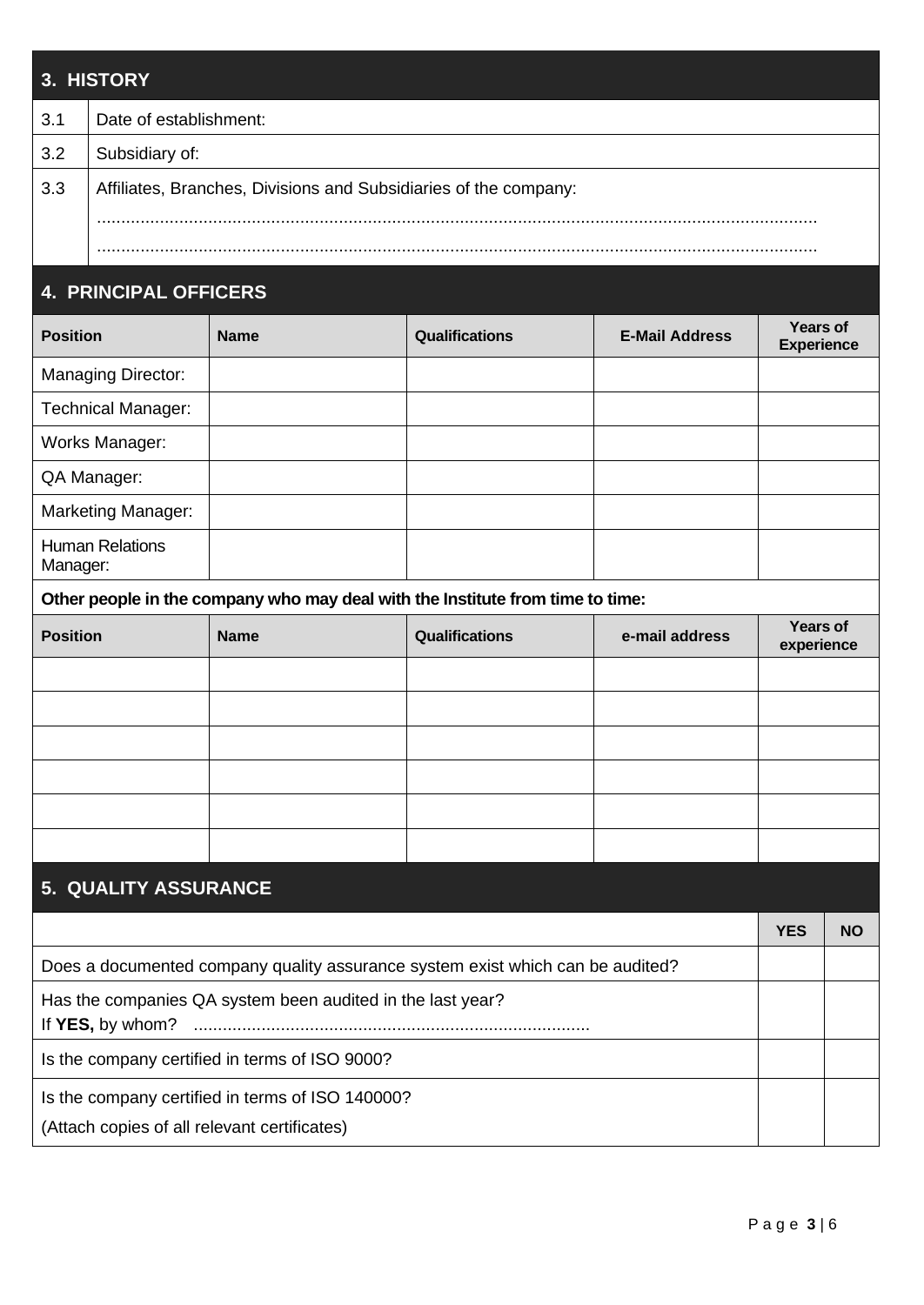### **3. HISTORY** 3.1 Date of establishment: 3.2 Subsidiary of: 3.3 | Affiliates, Branches, Divisions and Subsidiaries of the company: ..................................................................................................................................................... .....................................................................................................................................................

#### **4. PRINCIPAL OFFICERS**

| <b>Position</b>                                                                | <b>Name</b> | Qualifications                                                    | <b>E-Mail Address</b> | <b>Years of</b><br><b>Experience</b> |  |  |  |  |  |
|--------------------------------------------------------------------------------|-------------|-------------------------------------------------------------------|-----------------------|--------------------------------------|--|--|--|--|--|
| <b>Managing Director:</b>                                                      |             |                                                                   |                       |                                      |  |  |  |  |  |
| Technical Manager:                                                             |             |                                                                   |                       |                                      |  |  |  |  |  |
| Works Manager:                                                                 |             |                                                                   |                       |                                      |  |  |  |  |  |
| QA Manager:                                                                    |             |                                                                   |                       |                                      |  |  |  |  |  |
| <b>Marketing Manager:</b>                                                      |             |                                                                   |                       |                                      |  |  |  |  |  |
| <b>Human Relations</b><br>Manager:                                             |             |                                                                   |                       |                                      |  |  |  |  |  |
| Other people in the company who may deal with the Institute from time to time: |             |                                                                   |                       |                                      |  |  |  |  |  |
| <b>Position</b>                                                                | <b>Name</b> | <b>Years of</b><br>Qualifications<br>e-mail address<br>experience |                       |                                      |  |  |  |  |  |
|                                                                                |             |                                                                   |                       |                                      |  |  |  |  |  |
|                                                                                |             |                                                                   |                       |                                      |  |  |  |  |  |
|                                                                                |             |                                                                   |                       |                                      |  |  |  |  |  |
|                                                                                |             |                                                                   |                       |                                      |  |  |  |  |  |
|                                                                                |             |                                                                   |                       |                                      |  |  |  |  |  |
|                                                                                |             |                                                                   |                       |                                      |  |  |  |  |  |
| 5. QUALITY ASSURANCE                                                           |             |                                                                   |                       |                                      |  |  |  |  |  |
|                                                                                |             |                                                                   |                       |                                      |  |  |  |  |  |

|                                                                                                  | 1 E.S | NU |
|--------------------------------------------------------------------------------------------------|-------|----|
| Does a documented company quality assurance system exist which can be audited?                   |       |    |
| Has the companies QA system been audited in the last year?                                       |       |    |
| Is the company certified in terms of ISO 9000?                                                   |       |    |
| Is the company certified in terms of ISO 140000?<br>(Attach copies of all relevant certificates) |       |    |
|                                                                                                  |       |    |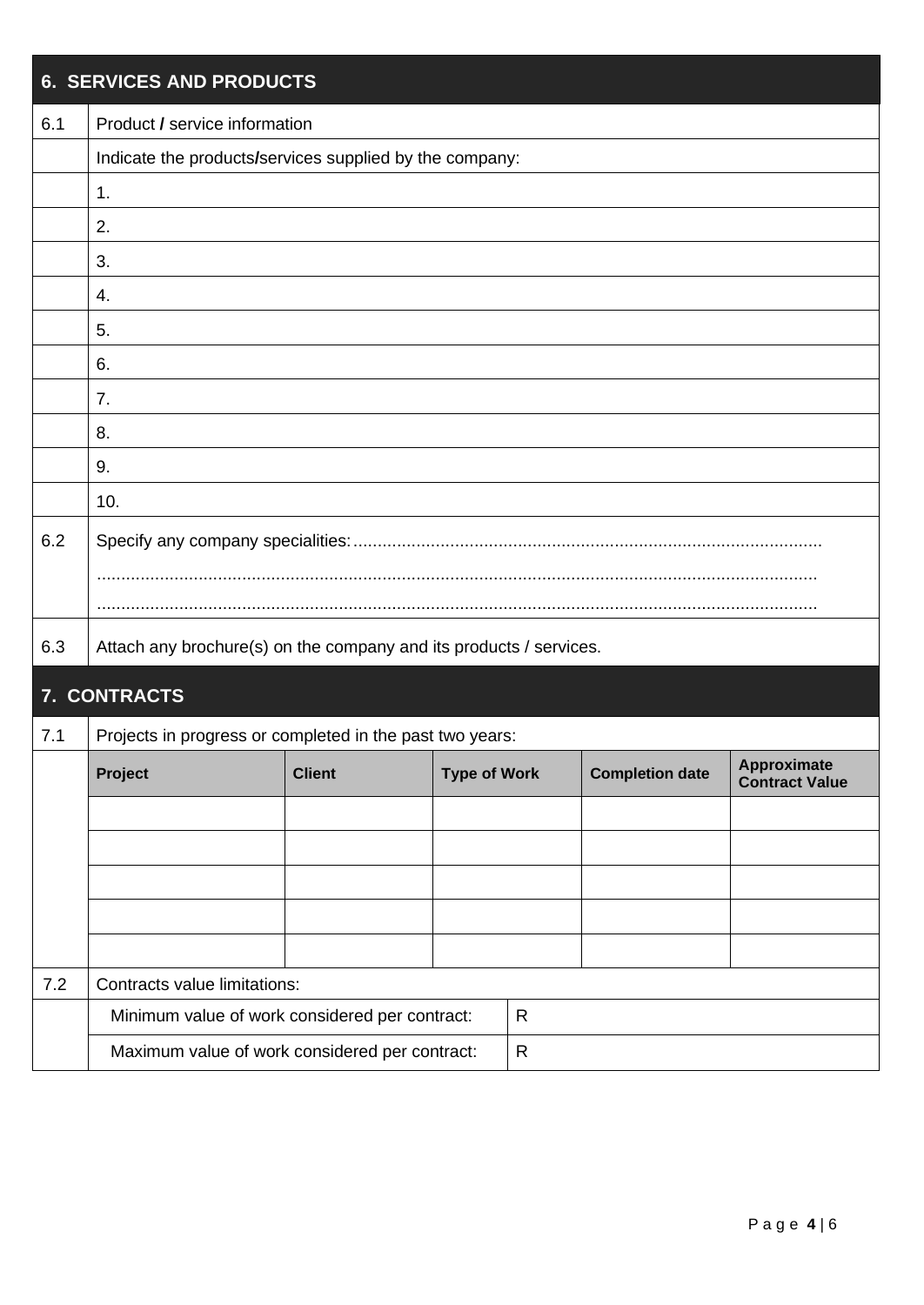|     | <b>6. SERVICES AND PRODUCTS</b> |                                                                    |                     |              |                        |                                      |  |  |  |  |
|-----|---------------------------------|--------------------------------------------------------------------|---------------------|--------------|------------------------|--------------------------------------|--|--|--|--|
| 6.1 | Product / service information   |                                                                    |                     |              |                        |                                      |  |  |  |  |
|     |                                 | Indicate the products/services supplied by the company:            |                     |              |                        |                                      |  |  |  |  |
|     | 1.                              |                                                                    |                     |              |                        |                                      |  |  |  |  |
|     | 2.                              |                                                                    |                     |              |                        |                                      |  |  |  |  |
|     | 3.                              |                                                                    |                     |              |                        |                                      |  |  |  |  |
|     | 4.                              |                                                                    |                     |              |                        |                                      |  |  |  |  |
|     | 5.                              |                                                                    |                     |              |                        |                                      |  |  |  |  |
|     | 6.                              |                                                                    |                     |              |                        |                                      |  |  |  |  |
|     | 7.                              |                                                                    |                     |              |                        |                                      |  |  |  |  |
|     | 8.                              |                                                                    |                     |              |                        |                                      |  |  |  |  |
|     | 9.                              |                                                                    |                     |              |                        |                                      |  |  |  |  |
|     | 10.                             |                                                                    |                     |              |                        |                                      |  |  |  |  |
| 6.2 |                                 |                                                                    |                     |              |                        |                                      |  |  |  |  |
|     |                                 |                                                                    |                     |              |                        |                                      |  |  |  |  |
|     |                                 |                                                                    |                     |              |                        |                                      |  |  |  |  |
| 6.3 |                                 | Attach any brochure(s) on the company and its products / services. |                     |              |                        |                                      |  |  |  |  |
|     | 7. CONTRACTS                    |                                                                    |                     |              |                        |                                      |  |  |  |  |
| 7.1 |                                 | Projects in progress or completed in the past two years:           |                     |              |                        |                                      |  |  |  |  |
|     | Project                         | <b>Client</b>                                                      | <b>Type of Work</b> |              | <b>Completion date</b> | Approximate<br><b>Contract Value</b> |  |  |  |  |
|     |                                 |                                                                    |                     |              |                        |                                      |  |  |  |  |
|     |                                 |                                                                    |                     |              |                        |                                      |  |  |  |  |
|     |                                 |                                                                    |                     |              |                        |                                      |  |  |  |  |
|     |                                 |                                                                    |                     |              |                        |                                      |  |  |  |  |
|     |                                 |                                                                    |                     |              |                        |                                      |  |  |  |  |
| 7.2 | Contracts value limitations:    |                                                                    |                     |              |                        |                                      |  |  |  |  |
|     |                                 | Minimum value of work considered per contract:                     |                     | R            |                        |                                      |  |  |  |  |
|     |                                 | Maximum value of work considered per contract:                     |                     | $\mathsf{R}$ |                        |                                      |  |  |  |  |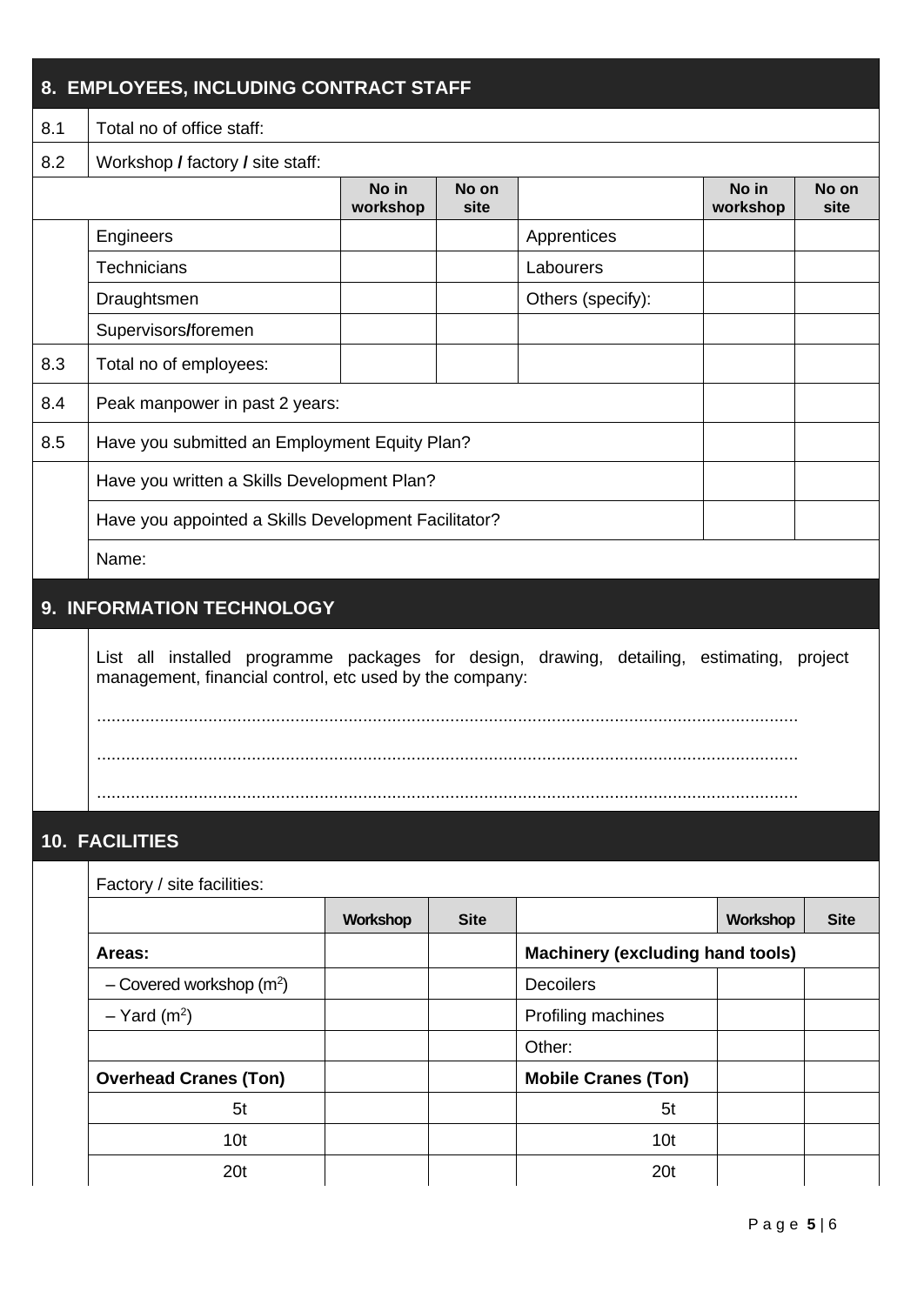| 8. EMPLOYEES, INCLUDING CONTRACT STAFF |                                                                                                                                                         |          |             |                                         |          |             |  |  |
|----------------------------------------|---------------------------------------------------------------------------------------------------------------------------------------------------------|----------|-------------|-----------------------------------------|----------|-------------|--|--|
| 8.1                                    | Total no of office staff:                                                                                                                               |          |             |                                         |          |             |  |  |
| 8.2                                    | Workshop / factory / site staff:                                                                                                                        |          |             |                                         |          |             |  |  |
|                                        | No in<br>No in<br>No on<br>No on<br>workshop<br>workshop<br>site<br>site                                                                                |          |             |                                         |          |             |  |  |
|                                        | Engineers                                                                                                                                               |          |             | Apprentices                             |          |             |  |  |
|                                        | <b>Technicians</b>                                                                                                                                      |          |             | Labourers                               |          |             |  |  |
|                                        | Draughtsmen                                                                                                                                             |          |             | Others (specify):                       |          |             |  |  |
|                                        | Supervisors/foremen                                                                                                                                     |          |             |                                         |          |             |  |  |
| 8.3                                    | Total no of employees:                                                                                                                                  |          |             |                                         |          |             |  |  |
| 8.4                                    | Peak manpower in past 2 years:                                                                                                                          |          |             |                                         |          |             |  |  |
| 8.5                                    | Have you submitted an Employment Equity Plan?                                                                                                           |          |             |                                         |          |             |  |  |
|                                        | Have you written a Skills Development Plan?                                                                                                             |          |             |                                         |          |             |  |  |
|                                        | Have you appointed a Skills Development Facilitator?                                                                                                    |          |             |                                         |          |             |  |  |
|                                        | Name:                                                                                                                                                   |          |             |                                         |          |             |  |  |
|                                        | 9. INFORMATION TECHNOLOGY                                                                                                                               |          |             |                                         |          |             |  |  |
|                                        | List all installed programme packages for design, drawing, detailing, estimating,<br>project<br>management, financial control, etc used by the company: |          |             |                                         |          |             |  |  |
|                                        | <b>10. FACILITIES</b>                                                                                                                                   |          |             |                                         |          |             |  |  |
|                                        | Factory / site facilities:                                                                                                                              |          |             |                                         |          |             |  |  |
|                                        |                                                                                                                                                         | Workshop | <b>Site</b> |                                         | Workshop | <b>Site</b> |  |  |
|                                        | Areas:                                                                                                                                                  |          |             | <b>Machinery (excluding hand tools)</b> |          |             |  |  |
|                                        | - Covered workshop $(m^2)$                                                                                                                              |          |             | <b>Decoilers</b>                        |          |             |  |  |
|                                        | $-$ Yard (m <sup>2</sup> )                                                                                                                              |          |             | Profiling machines                      |          |             |  |  |
|                                        |                                                                                                                                                         |          |             | Other:                                  |          |             |  |  |
|                                        | <b>Overhead Cranes (Ton)</b>                                                                                                                            |          |             | <b>Mobile Cranes (Ton)</b>              |          |             |  |  |
|                                        | 5 <sub>t</sub>                                                                                                                                          |          |             | 5 <sub>t</sub>                          |          |             |  |  |
|                                        | 10 <sub>t</sub>                                                                                                                                         |          |             | 10 <sub>t</sub>                         |          |             |  |  |
|                                        | 20 <sub>t</sub>                                                                                                                                         |          |             | 20 <sub>t</sub>                         |          |             |  |  |